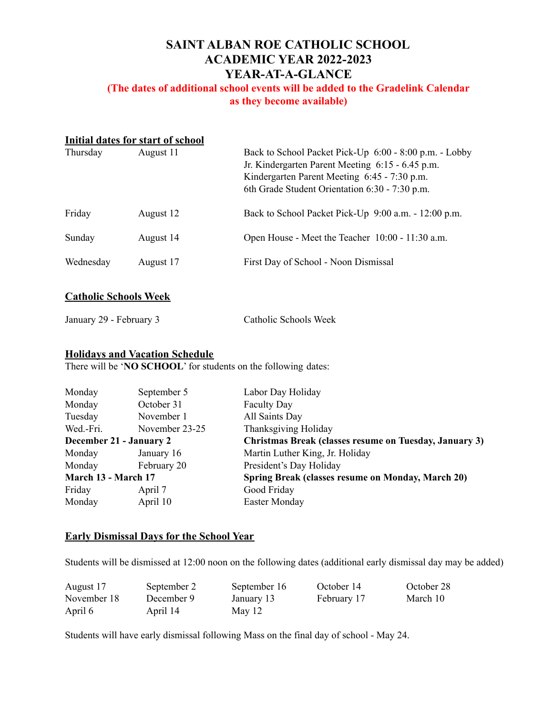# **SAINT ALBAN ROE CATHOLIC SCHOOL ACADEMIC YEAR 2022-2023 YEAR-AT-A-GLANCE**

## **(The dates of additional school events will be added to the Gradelink Calendar as they become available)**

| Initial dates for start of school |           |                                                                                                                                                                                                              |  |  |
|-----------------------------------|-----------|--------------------------------------------------------------------------------------------------------------------------------------------------------------------------------------------------------------|--|--|
| Thursday                          | August 11 | Back to School Packet Pick-Up 6:00 - 8:00 p.m. - Lobby<br>Jr. Kindergarten Parent Meeting 6:15 - 6.45 p.m.<br>Kindergarten Parent Meeting 6:45 - 7:30 p.m.<br>6th Grade Student Orientation 6:30 - 7:30 p.m. |  |  |
| Friday                            | August 12 | Back to School Packet Pick-Up 9:00 a.m. - 12:00 p.m.                                                                                                                                                         |  |  |
| Sunday                            | August 14 | Open House - Meet the Teacher 10:00 - 11:30 a.m.                                                                                                                                                             |  |  |
| Wednesday                         | August 17 | First Day of School - Noon Dismissal                                                                                                                                                                         |  |  |

#### **Catholic Schools Week**

Catholic Schools Week

### **Holidays and Vacation Schedule**

There will be '**NO SCHOOL**' for students on the following dates:

| Monday                  | September 5    | Labor Day Holiday                                      |
|-------------------------|----------------|--------------------------------------------------------|
| Monday                  | October 31     | <b>Faculty Day</b>                                     |
| Tuesday                 | November 1     | All Saints Day                                         |
| Wed.-Fri.               | November 23-25 | Thanksgiving Holiday                                   |
| December 21 - January 2 |                | Christmas Break (classes resume on Tuesday, January 3) |
| Monday                  | January 16     | Martin Luther King, Jr. Holiday                        |
| Monday                  | February 20    | President's Day Holiday                                |
| March 13 - March 17     |                | Spring Break (classes resume on Monday, March 20)      |
| Friday                  | April 7        | Good Friday                                            |
| Monday                  | April 10       | Easter Monday                                          |
|                         |                |                                                        |

### **Early Dismissal Days for the School Year**

Students will be dismissed at 12:00 noon on the following dates (additional early dismissal day may be added)

| August 17   | September 2 | September 16 | October 14  | October 28 |
|-------------|-------------|--------------|-------------|------------|
| November 18 | December 9  | January 13   | February 17 | March 10   |
| April 6     | April 14    | May 12       |             |            |

Students will have early dismissal following Mass on the final day of school - May 24.